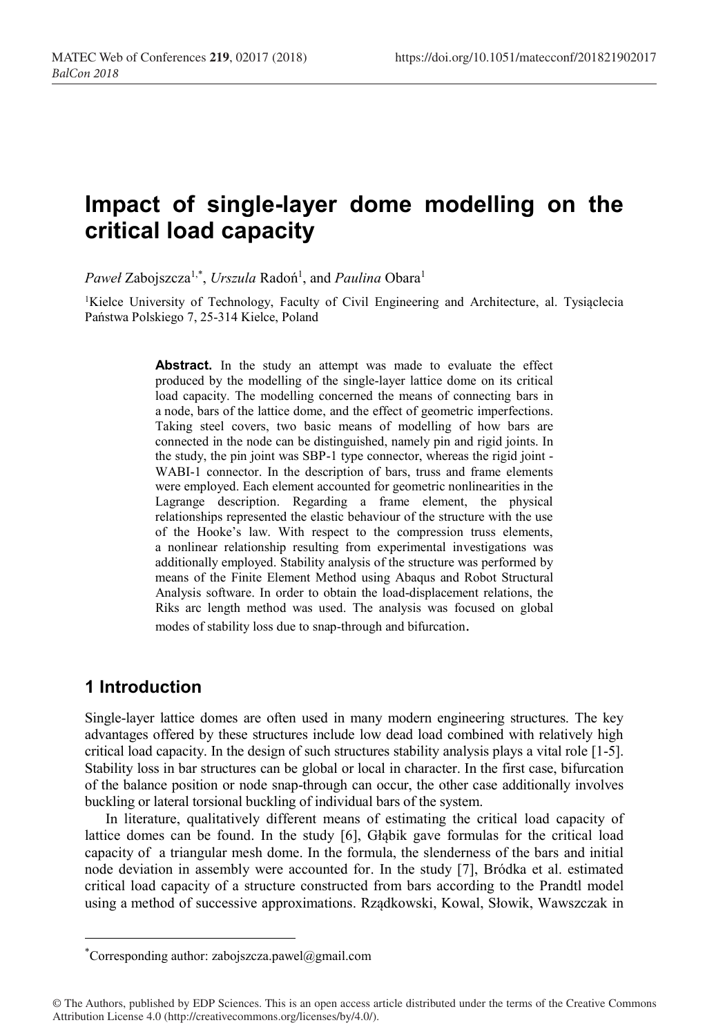# **Impact of single-layer dome modelling on the critical load capacity**

Paweł Zabojszcza<sup>1,\*</sup>, *Urszula* Radoń<sup>1</sup>, and *Paulina* Obara<sup>1</sup>

<sup>1</sup>Kielce University of Technology, Faculty of Civil Engineering and Architecture, al. Tysiąclecia Państwa Polskiego 7, 25-314 Kielce, Poland

> Abstract. In the study an attempt was made to evaluate the effect produced by the modelling of the single-layer lattice dome on its critical load capacity. The modelling concerned the means of connecting bars in a node, bars of the lattice dome, and the effect of geometric imperfections. Taking steel covers, two basic means of modelling of how bars are connected in the node can be distinguished, namely pin and rigid joints. In the study, the pin joint was SBP-1 type connector, whereas the rigid joint - WABI-1 connector. In the description of bars, truss and frame elements were employed. Each element accounted for geometric nonlinearities in the Lagrange description. Regarding a frame element, the physical relationships represented the elastic behaviour of the structure with the use of the Hooke's law. With respect to the compression truss elements, a nonlinear relationship resulting from experimental investigations was additionally employed. Stability analysis of the structure was performed by means of the Finite Element Method using Abaqus and Robot Structural Analysis software. In order to obtain the load-displacement relations, the Riks arc length method was used. The analysis was focused on global modes of stability loss due to snap-through and bifurcation.

#### **1 Introduction**

Single-layer lattice domes are often used in many modern engineering structures. The key advantages offered by these structures include low dead load combined with relatively high critical load capacity. In the design of such structures stability analysis plays a vital role [1-5]. Stability loss in bar structures can be global or local in character. In the first case, bifurcation of the balance position or node snap-through can occur, the other case additionally involves buckling or lateral torsional buckling of individual bars of the system.

In literature, qualitatively different means of estimating the critical load capacity of lattice domes can be found. In the study [6], Głąbik gave formulas for the critical load capacity of a triangular mesh dome. In the formula, the slenderness of the bars and initial node deviation in assembly were accounted for. In the study [7], Bródka et al. estimated critical load capacity of a structure constructed from bars according to the Prandtl model using a method of successive approximations. Rządkowski, Kowal, Słowik, Wawszczak in

 <sup>\*</sup> Corresponding author: zabojszcza.pawel@gmail.com

<sup>©</sup> The Authors, published by EDP Sciences. This is an open access article distributed under the terms of the Creative Commons Attribution License 4.0 (http://creativecommons.org/licenses/by/4.0/).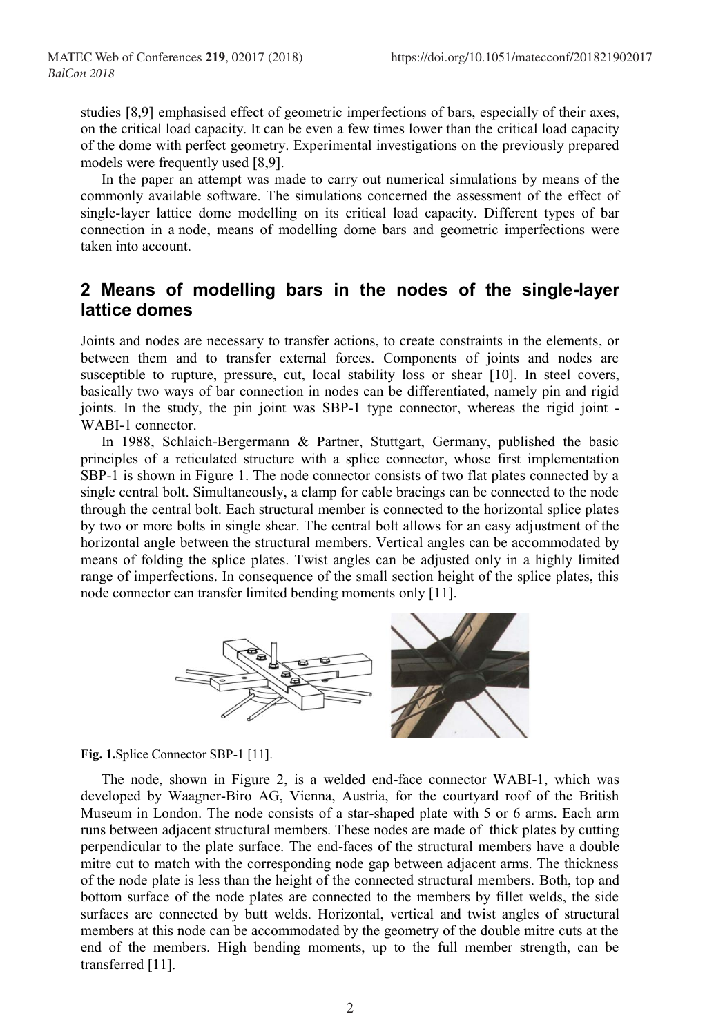studies [8,9] emphasised effect of geometric imperfections of bars, especially of their axes, on the critical load capacity. It can be even a few times lower than the critical load capacity of the dome with perfect geometry. Experimental investigations on the previously prepared models were frequently used [8,9].

In the paper an attempt was made to carry out numerical simulations by means of the commonly available software. The simulations concerned the assessment of the effect of single-layer lattice dome modelling on its critical load capacity. Different types of bar connection in a node, means of modelling dome bars and geometric imperfections were taken into account.

## **2 Means of modelling bars in the nodes of the single-layer lattice domes**

Joints and nodes are necessary to transfer actions, to create constraints in the elements, or between them and to transfer external forces. Components of joints and nodes are susceptible to rupture, pressure, cut, local stability loss or shear [10]. In steel covers, basically two ways of bar connection in nodes can be differentiated, namely pin and rigid joints. In the study, the pin joint was SBP-1 type connector, whereas the rigid joint - WABI-1 connector.

In 1988, Schlaich-Bergermann & Partner, Stuttgart, Germany, published the basic principles of a reticulated structure with a splice connector, whose first implementation SBP-1 is shown in Figure 1. The node connector consists of two flat plates connected by a single central bolt. Simultaneously, a clamp for cable bracings can be connected to the node through the central bolt. Each structural member is connected to the horizontal splice plates by two or more bolts in single shear. The central bolt allows for an easy adjustment of the horizontal angle between the structural members. Vertical angles can be accommodated by means of folding the splice plates. Twist angles can be adjusted only in a highly limited range of imperfections. In consequence of the small section height of the splice plates, this node connector can transfer limited bending moments only [11].



**Fig. 1.**Splice Connector SBP-1 [11].

The node, shown in Figure 2, is a welded end-face connector WABI-1, which was developed by Waagner-Biro AG, Vienna, Austria, for the courtyard roof of the British Museum in London. The node consists of a star-shaped plate with 5 or 6 arms. Each arm runs between adjacent structural members. These nodes are made of thick plates by cutting perpendicular to the plate surface. The end-faces of the structural members have a double mitre cut to match with the corresponding node gap between adjacent arms. The thickness of the node plate is less than the height of the connected structural members. Both, top and bottom surface of the node plates are connected to the members by fillet welds, the side surfaces are connected by butt welds. Horizontal, vertical and twist angles of structural members at this node can be accommodated by the geometry of the double mitre cuts at the end of the members. High bending moments, up to the full member strength, can be transferred [11].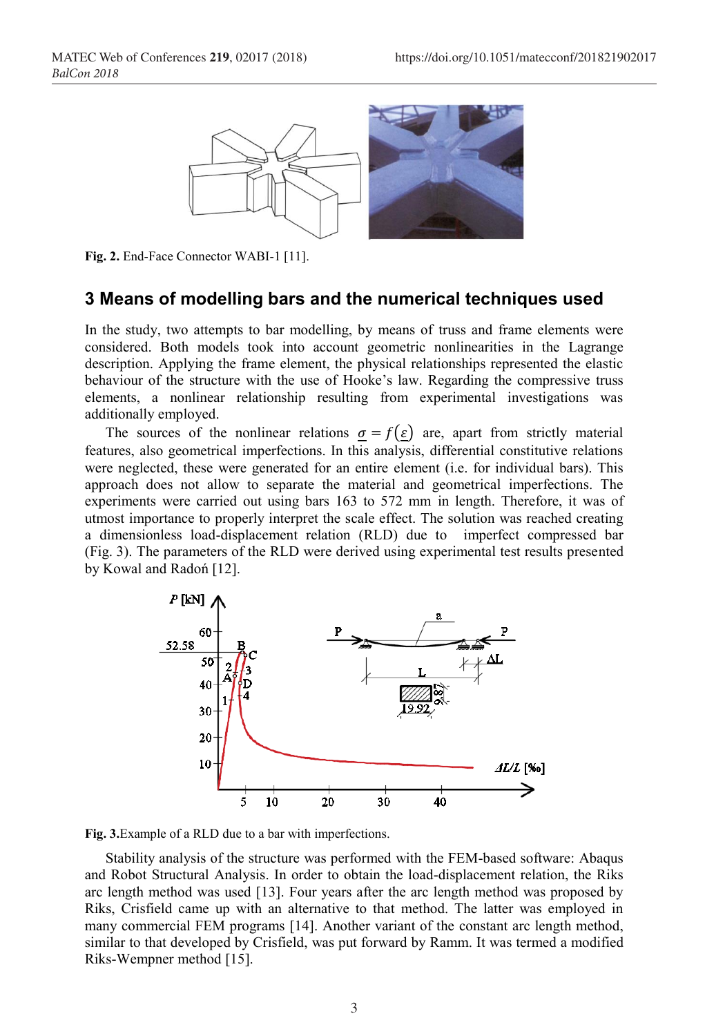

**Fig. 2.** End-Face Connector WABI-1 [11].

### **3 Means of modelling bars and the numerical techniques used**

In the study, two attempts to bar modelling, by means of truss and frame elements were considered. Both models took into account geometric nonlinearities in the Lagrange description. Applying the frame element, the physical relationships represented the elastic behaviour of the structure with the use of Hooke's law. Regarding the compressive truss elements, a nonlinear relationship resulting from experimental investigations was additionally employed.

The sources of the nonlinear relations  $\sigma = f(\varepsilon)$  are, apart from strictly material features, also geometrical imperfections. In this analysis, differential constitutive relations were neglected, these were generated for an entire element (i.e. for individual bars). This approach does not allow to separate the material and geometrical imperfections. The experiments were carried out using bars 163 to 572 mm in length. Therefore, it was of utmost importance to properly interpret the scale effect. The solution was reached creating a dimensionless load-displacement relation (RLD) due to imperfect compressed bar (Fig. 3). The parameters of the RLD were derived using experimental test results presented by Kowal and Radoń [12].



**Fig. 3.**Example of a RLD due to a bar with imperfections.

Stability analysis of the structure was performed with the FEM-based software: Abaqus and Robot Structural Analysis. In order to obtain the load-displacement relation, the Riks arc length method was used [13]. Four years after the arc length method was proposed by Riks, Crisfield came up with an alternative to that method. The latter was employed in many commercial FEM programs [14]. Another variant of the constant arc length method, similar to that developed by Crisfield, was put forward by Ramm. It was termed a modified Riks-Wempner method [15].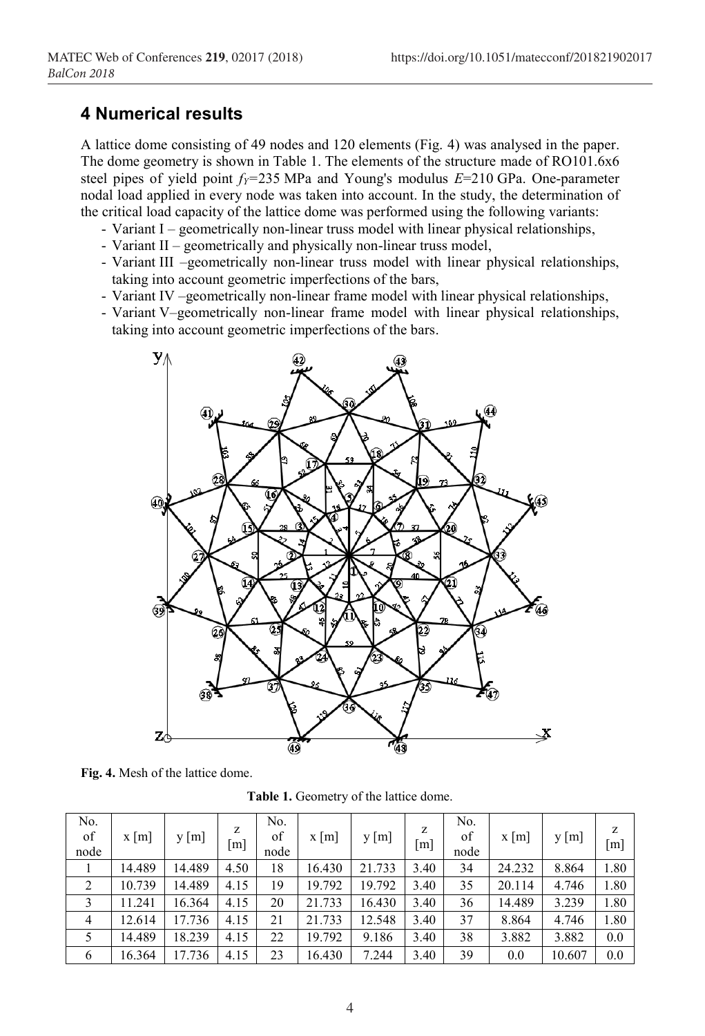#### **4 Numerical results**

A lattice dome consisting of 49 nodes and 120 elements (Fig. 4) was analysed in the paper. The dome geometry is shown in Table 1. The elements of the structure made of RO101.6x6 steel pipes of yield point  $f_Y=235$  MPa and Young's modulus  $E=210$  GPa. One-parameter nodal load applied in every node was taken into account. In the study, the determination of the critical load capacity of the lattice dome was performed using the following variants:

- Variant I geometrically non-linear truss model with linear physical relationships,
- Variant II geometrically and physically non-linear truss model,
- Variant III –geometrically non-linear truss model with linear physical relationships, taking into account geometric imperfections of the bars,
- Variant IV –geometrically non-linear frame model with linear physical relationships,
- Variant V–geometrically non-linear frame model with linear physical relationships, taking into account geometric imperfections of the bars.



**Fig. 4.** Mesh of the lattice dome.

| <b>Table 1.</b> Geometry of the lattice dome. |  |  |  |
|-----------------------------------------------|--|--|--|
|-----------------------------------------------|--|--|--|

| No.<br>of<br>node | $x \, \lceil m \rceil$ | y [m]  | z<br>[m] | No.<br>of<br>node | $x \, \lceil m \rceil$ | y[m]   | Z<br> m | No.<br>of<br>node | $x \mid m$ | y [m]  | z<br>$\lceil m \rceil$ |
|-------------------|------------------------|--------|----------|-------------------|------------------------|--------|---------|-------------------|------------|--------|------------------------|
|                   | 14.489                 | 14.489 | 4.50     | 18                | 16.430                 | 21.733 | 3.40    | 34                | 24.232     | 8.864  | 1.80                   |
| $\overline{2}$    | 10.739                 | 14.489 | 4.15     | 19                | 19.792                 | 19.792 | 3.40    | 35                | 20.114     | 4.746  | 1.80                   |
| 3                 | 11.241                 | 16.364 | 4.15     | 20                | 21.733                 | 16.430 | 3.40    | 36                | 14.489     | 3.239  | 1.80                   |
| 4                 | 12.614                 | 17.736 | 4.15     | 21                | 21.733                 | 12.548 | 3.40    | 37                | 8.864      | 4.746  | 1.80                   |
|                   | 14.489                 | 18.239 | 4.15     | 22                | 19.792                 | 9.186  | 3.40    | 38                | 3.882      | 3.882  | 0.0                    |
| 6                 | 16.364                 | 17.736 | 4.15     | 23                | 16.430                 | 7.244  | 3.40    | 39                | 0.0        | 10.607 | 0.0                    |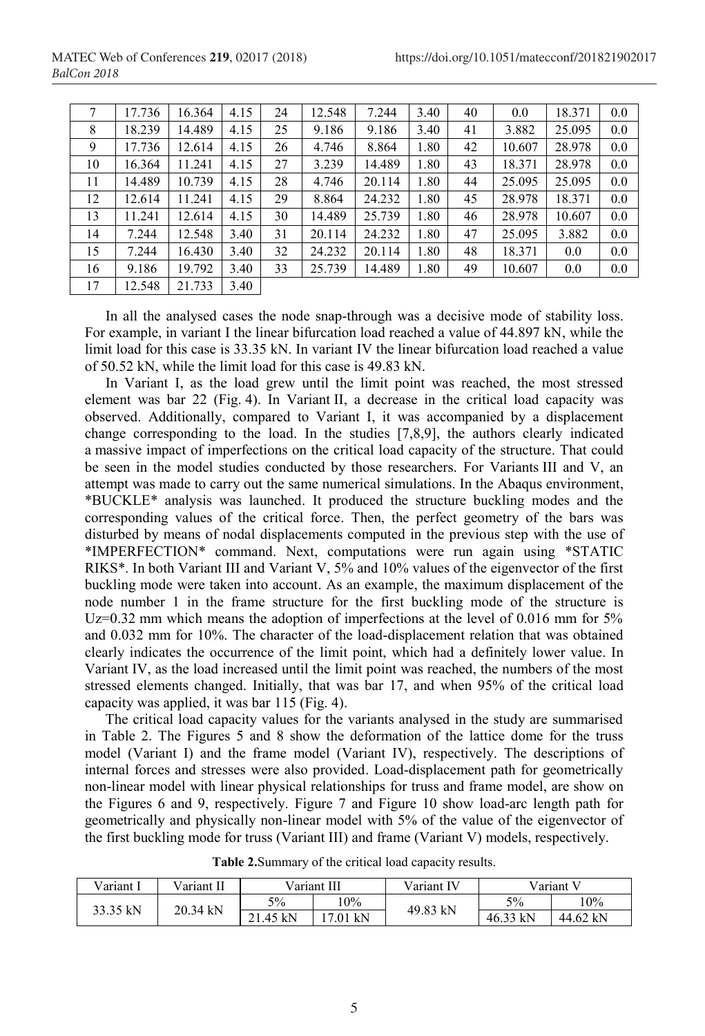| 7  | 17.736 | 16.364 | 4.15 | 24 | 12.548 | 7.244  | 3.40 | 40 | 0.0    | 18.371 | 0.0 |
|----|--------|--------|------|----|--------|--------|------|----|--------|--------|-----|
| 8  | 18.239 | 14.489 | 4.15 | 25 | 9.186  | 9.186  | 3.40 | 41 | 3.882  | 25.095 | 0.0 |
| 9  | 17.736 | 12.614 | 4.15 | 26 | 4.746  | 8.864  | 1.80 | 42 | 10.607 | 28.978 | 0.0 |
| 10 | 16.364 | 11.241 | 4.15 | 27 | 3.239  | 14.489 | 1.80 | 43 | 18.371 | 28.978 | 0.0 |
| 11 | 14.489 | 10.739 | 4.15 | 28 | 4.746  | 20.114 | 1.80 | 44 | 25.095 | 25.095 | 0.0 |
| 12 | 12.614 | 11.241 | 4.15 | 29 | 8.864  | 24.232 | 1.80 | 45 | 28.978 | 18.371 | 0.0 |
| 13 | 11.241 | 12.614 | 4.15 | 30 | 14.489 | 25.739 | 1.80 | 46 | 28.978 | 10.607 | 0.0 |
| 14 | 7.244  | 12.548 | 3.40 | 31 | 20.114 | 24.232 | 1.80 | 47 | 25.095 | 3.882  | 0.0 |
| 15 | 7.244  | 16.430 | 3.40 | 32 | 24.232 | 20.114 | 1.80 | 48 | 18.371 | 0.0    | 0.0 |
| 16 | 9.186  | 19.792 | 3.40 | 33 | 25.739 | 14.489 | 1.80 | 49 | 10.607 | 0.0    | 0.0 |
| 17 | 12.548 | 21.733 | 3.40 |    |        |        |      |    |        |        |     |

In all the analysed cases the node snap-through was a decisive mode of stability loss. For example, in variant I the linear bifurcation load reached a value of 44.897 kN, while the limit load for this case is 33.35 kN. In variant IV the linear bifurcation load reached a value of 50.52 kN, while the limit load for this case is 49.83 kN.

In Variant I, as the load grew until the limit point was reached, the most stressed element was bar 22 (Fig. 4). In Variant II, a decrease in the critical load capacity was observed. Additionally, compared to Variant I, it was accompanied by a displacement change corresponding to the load. In the studies [7,8,9], the authors clearly indicated a massive impact of imperfections on the critical load capacity of the structure. That could be seen in the model studies conducted by those researchers. For Variants III and V, an attempt was made to carry out the same numerical simulations. In the Abaqus environment, \*BUCKLE\* analysis was launched. It produced the structure buckling modes and the corresponding values of the critical force. Then, the perfect geometry of the bars was disturbed by means of nodal displacements computed in the previous step with the use of \*IMPERFECTION\* command. Next, computations were run again using \*STATIC RIKS\*. In both Variant III and Variant V, 5% and 10% values of the eigenvector of the first buckling mode were taken into account. As an example, the maximum displacement of the node number 1 in the frame structure for the first buckling mode of the structure is Uz=0.32 mm which means the adoption of imperfections at the level of 0.016 mm for 5% and 0.032 mm for 10%. The character of the load-displacement relation that was obtained clearly indicates the occurrence of the limit point, which had a definitely lower value. In Variant IV, as the load increased until the limit point was reached, the numbers of the most stressed elements changed. Initially, that was bar 17, and when 95% of the critical load capacity was applied, it was bar 115 (Fig. 4).

The critical load capacity values for the variants analysed in the study are summarised in Table 2. The Figures 5 and 8 show the deformation of the lattice dome for the truss model (Variant I) and the frame model (Variant IV), respectively. The descriptions of internal forces and stresses were also provided. Load-displacement path for geometrically non-linear model with linear physical relationships for truss and frame model, are show on the Figures 6 and 9, respectively. Figure 7 and Figure 10 show load-arc length path for geometrically and physically non-linear model with 5% of the value of the eigenvector of the first buckling mode for truss (Variant III) and frame (Variant V) models, respectively.

| Variant I | Variant II |          | Variant III | Variant IV | Variant V |          |  |
|-----------|------------|----------|-------------|------------|-----------|----------|--|
| 33.35 kN  | 20.34 kN   | 5%       | $.0\%$      | 49.83 kN   | 5%        | 10%      |  |
|           |            | 21.45 kN | 17.01 kN    |            | 46.33 kN  | 44.62 kN |  |

**Table 2.**Summary of the critical load capacity results.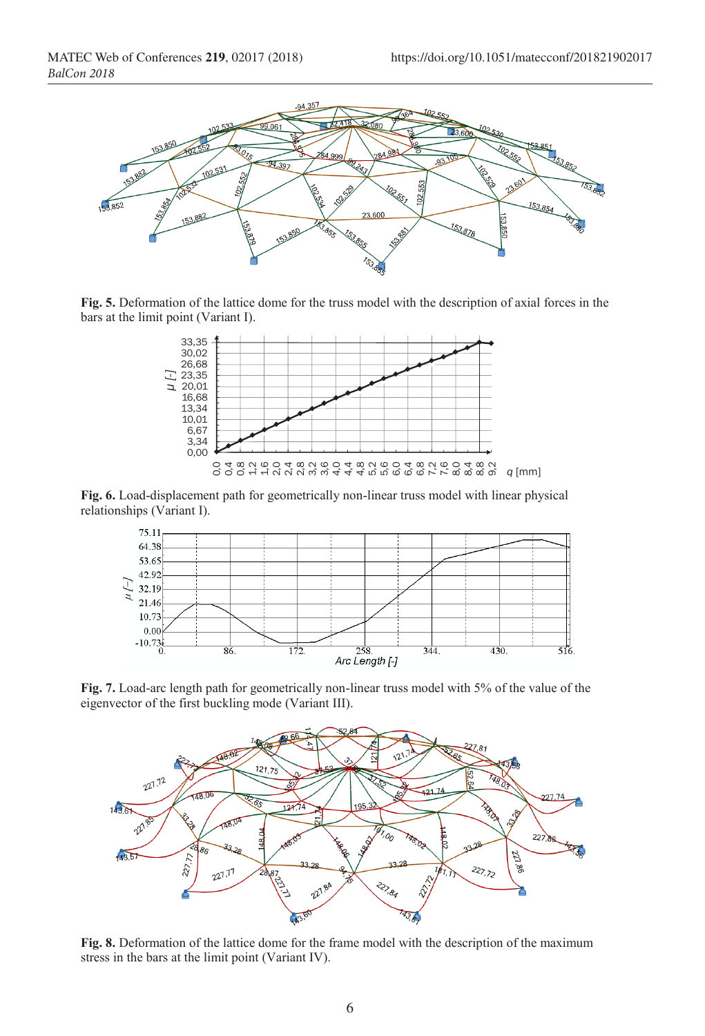

**Fig. 5.** Deformation of the lattice dome for the truss model with the description of axial forces in the bars at the limit point (Variant I).



Fig. 6. Load-displacement path for geometrically non-linear truss model with linear physical relationships (Variant I).



**Fig. 7.** Load-arc length path for geometrically non-linear truss model with 5% of the value of the eigenvector of the first buckling mode (Variant III).



**Fig. 8.** Deformation of the lattice dome for the frame model with the description of the maximum stress in the bars at the limit point (Variant IV).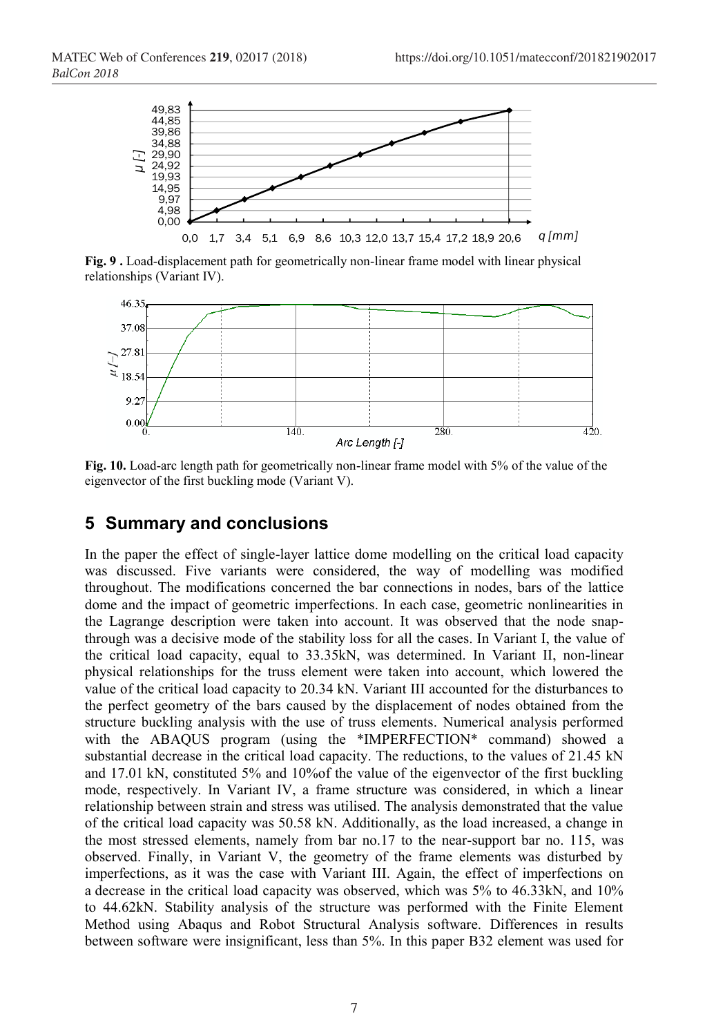

**Fig. 9.** Load-displacement path for geometrically non-linear frame model with linear physical relationships (Variant IV).



**Fig. 10.** Load-arc length path for geometrically non-linear frame model with 5% of the value of the eigenvector of the first buckling mode (Variant V).

## **5 Summary and conclusions**

In the paper the effect of single-layer lattice dome modelling on the critical load capacity was discussed. Five variants were considered, the way of modelling was modified throughout. The modifications concerned the bar connections in nodes, bars of the lattice dome and the impact of geometric imperfections. In each case, geometric nonlinearities in the Lagrange description were taken into account. It was observed that the node snapthrough was a decisive mode of the stability loss for all the cases. In Variant I, the value of the critical load capacity, equal to 33.35kN, was determined. In Variant II, non-linear physical relationships for the truss element were taken into account, which lowered the value of the critical load capacity to 20.34 kN. Variant III accounted for the disturbances to the perfect geometry of the bars caused by the displacement of nodes obtained from the structure buckling analysis with the use of truss elements. Numerical analysis performed with the ABAQUS program (using the \*IMPERFECTION\* command) showed a substantial decrease in the critical load capacity. The reductions, to the values of 21.45 kN and 17.01 kN, constituted 5% and 10%of the value of the eigenvector of the first buckling mode, respectively. In Variant IV, a frame structure was considered, in which a linear relationship between strain and stress was utilised. The analysis demonstrated that the value of the critical load capacity was 50.58 kN. Additionally, as the load increased, a change in the most stressed elements, namely from bar no.17 to the near-support bar no. 115, was observed. Finally, in Variant V, the geometry of the frame elements was disturbed by imperfections, as it was the case with Variant III. Again, the effect of imperfections on a decrease in the critical load capacity was observed, which was 5% to 46.33kN, and 10% to 44.62kN. Stability analysis of the structure was performed with the Finite Element Method using Abaqus and Robot Structural Analysis software. Differences in results between software were insignificant, less than 5%. In this paper B32 element was used for